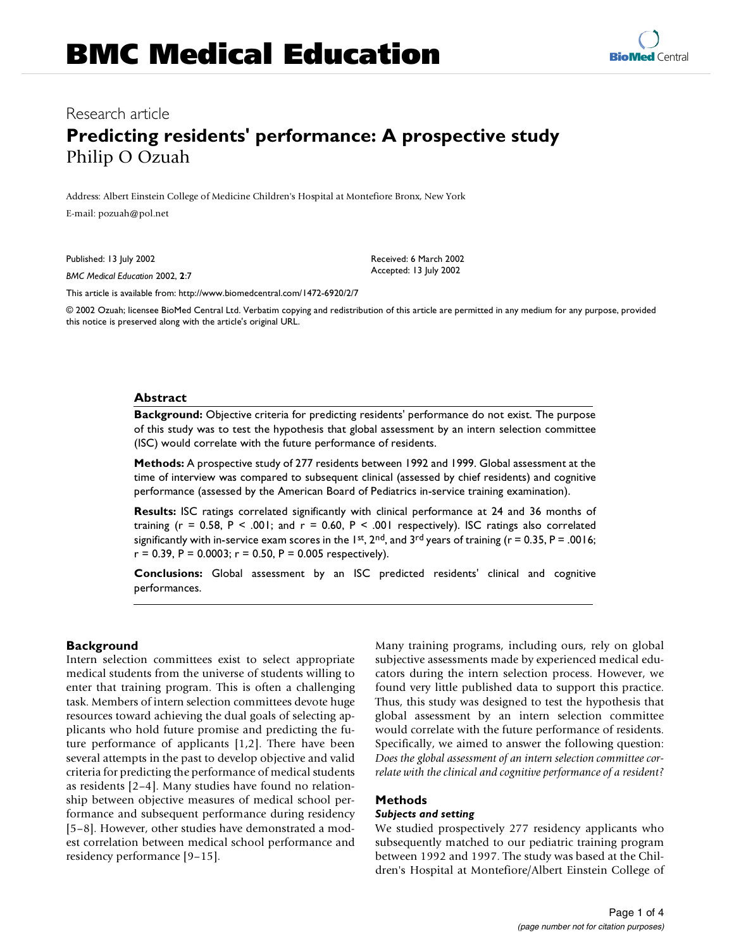# Research article **Predicting residents' performance: A prospective study** Philip O Ozuah

Address: Albert Einstein College of Medicine Children's Hospital at Montefiore Bronx, New York E-mail: pozuah@pol.net

Published: 13 July 2002

*BMC Medical Education* 2002, **2**:7

Received: 6 March 2002 Accepted: 13 July 2002

[This article is available from: http://www.biomedcentral.com/1472-6920/2/7](http://www.biomedcentral.com/1472-6920/2/7)

© 2002 Ozuah; licensee BioMed Central Ltd. Verbatim copying and redistribution of this article are permitted in any medium for any purpose, provided this notice is preserved along with the article's original URL.

#### **Abstract**

**Background:** Objective criteria for predicting residents' performance do not exist. The purpose of this study was to test the hypothesis that global assessment by an intern selection committee (ISC) would correlate with the future performance of residents.

**Methods:** A prospective study of 277 residents between 1992 and 1999. Global assessment at the time of interview was compared to subsequent clinical (assessed by chief residents) and cognitive performance (assessed by the American Board of Pediatrics in-service training examination).

**Results:** ISC ratings correlated significantly with clinical performance at 24 and 36 months of training ( $r = 0.58$ ,  $P < .001$ ; and  $r = 0.60$ ,  $P < .001$  respectively). ISC ratings also correlated significantly with in-service exam scores in the 1st, 2<sup>nd</sup>, and 3<sup>rd</sup> years of training ( $r = 0.35$ ,  $P = .0016$ ;  $r = 0.39$ , P = 0.0003;  $r = 0.50$ , P = 0.005 respectively).

**Conclusions:** Global assessment by an ISC predicted residents' clinical and cognitive performances.

#### **Background**

Intern selection committees exist to select appropriate medical students from the universe of students willing to enter that training program. This is often a challenging task. Members of intern selection committees devote huge resources toward achieving the dual goals of selecting applicants who hold future promise and predicting the future performance of applicants [1,2]. There have been several attempts in the past to develop objective and valid criteria for predicting the performance of medical students as residents [2–4]. Many studies have found no relationship between objective measures of medical school performance and subsequent performance during residency [5–8]. However, other studies have demonstrated a modest correlation between medical school performance and residency performance [9–15].

Many training programs, including ours, rely on global subjective assessments made by experienced medical educators during the intern selection process. However, we found very little published data to support this practice. Thus, this study was designed to test the hypothesis that global assessment by an intern selection committee would correlate with the future performance of residents. Specifically, we aimed to answer the following question: *Does the global assessment of an intern selection committee correlate with the clinical and cognitive performance of a resident?*

#### <span id="page-0-0"></span>**Methods**

#### *Subjects and setting*

We studied prospectively 277 residency applicants who subsequently matched to our pediatric training program between 1992 and 1997. The study was based at the Children's Hospital at Montefiore/Albert Einstein College of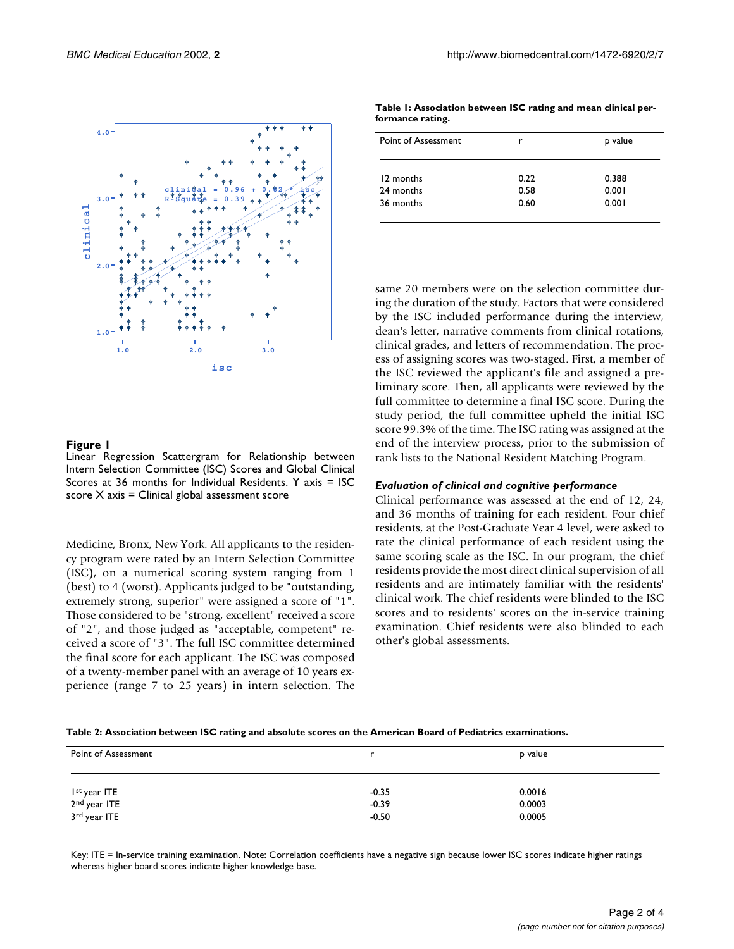

#### **Figure 1**

Linear Regression Scattergram for Relationship between Intern Selection Committee (ISC) Scores and Global Clinical Scores at 36 months for Individual Residents. Y axis = ISC score  $X$  axis = Clinical global assessment score

Medicine, Bronx, New York. All applicants to the residency program were rated by an Intern Selection Committee (ISC), on a numerical scoring system ranging from 1 (best) to 4 (worst). Applicants judged to be "outstanding, extremely strong, superior" were assigned a score of "1". Those considered to be "strong, excellent" received a score of "2", and those judged as "acceptable, competent" received a score of "3". The full ISC committee determined the final score for each applicant. The ISC was composed of a twenty-member panel with an average of 10 years experience (range 7 to 25 years) in intern selection. The

**Table 1: Association between ISC rating and mean clinical performance rating.**

| Point of Assessment | r    | p value |
|---------------------|------|---------|
| 12 months           | 0.22 | 0.388   |
| 24 months           | 0.58 | 0.001   |
| 36 months           | 0.60 | 0.001   |

same 20 members were on the selection committee during the duration of the study. Factors that were considered by the ISC included performance during the interview, dean's letter, narrative comments from clinical rotations, clinical grades, and letters of recommendation. The process of assigning scores was two-staged. First, a member of the ISC reviewed the applicant's file and assigned a preliminary score. Then, all applicants were reviewed by the full committee to determine a final ISC score. During the study period, the full committee upheld the initial ISC score 99.3% of the time. The ISC rating was assigned at the end of the interview process, prior to the submission of rank lists to the National Resident Matching Program.

#### *Evaluation of clinical and cognitive performance*

Clinical performance was assessed at the end of 12, 24, and 36 months of training for each resident. Four chief residents, at the Post-Graduate Year 4 level, were asked to rate the clinical performance of each resident using the same scoring scale as the ISC. In our program, the chief residents provide the most direct clinical supervision of all residents and are intimately familiar with the residents' clinical work. The chief residents were blinded to the ISC scores and to residents' scores on the in-service training examination. Chief residents were also blinded to each other's global assessments.

| Table 2: Association between ISC rating and absolute scores on the American Board of Pediatrics examinations. |  |
|---------------------------------------------------------------------------------------------------------------|--|
|---------------------------------------------------------------------------------------------------------------|--|

| Point of Assessment                                                              |                    | p value          |  |
|----------------------------------------------------------------------------------|--------------------|------------------|--|
|                                                                                  | $-0.35$            | 0.0016           |  |
| I <sup>st</sup> year ITE<br>2 <sup>nd</sup> year ITE<br>3 <sup>rd</sup> year ITE | $-0.39$<br>$-0.50$ | 0.0003<br>0.0005 |  |

Key: ITE = In-service training examination. Note: Correlation coefficients have a negative sign because lower ISC scores indicate higher ratings whereas higher board scores indicate higher knowledge base.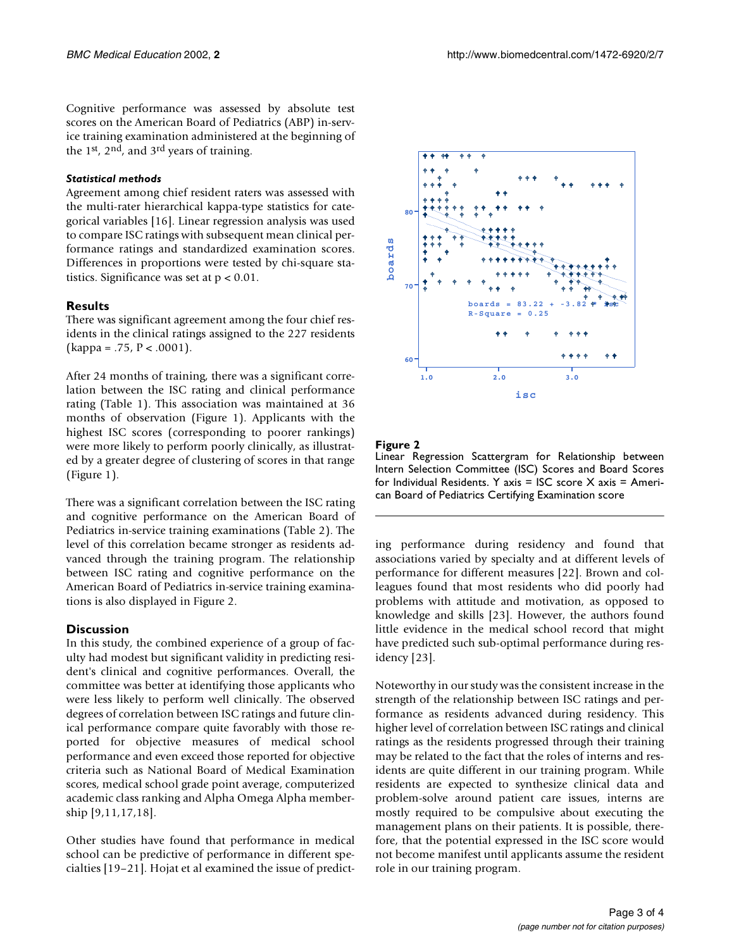Cognitive performance was assessed by absolute test scores on the American Board of Pediatrics (ABP) in-service training examination administered at the beginning of the 1st, 2nd, and 3rd years of training.

## *Statistical methods*

Agreement among chief resident raters was assessed with the multi-rater hierarchical kappa-type statistics for categorical variables [16]. Linear regression analysis was used to compare ISC ratings with subsequent mean clinical performance ratings and standardized examination scores. Differences in proportions were tested by chi-square statistics. Significance was set at  $p < 0.01$ .

## **Results**

There was significant agreement among the four chief residents in the clinical ratings assigned to the 227 residents  $(kappa = .75, P < .0001)$ .

After 24 months of training, there was a significant correlation between the ISC rating and clinical performance rating (Table [1\)](#page-0-0). This association was maintained at 36 months of observation (Figure 1). Applicants with the highest ISC scores (corresponding to poorer rankings) were more likely to perform poorly clinically, as illustrated by a greater degree of clustering of scores in that range (Figure 1).

There was a significant correlation between the ISC rating and cognitive performance on the American Board of Pediatrics in-service training examinations (Table 2). The level of this correlation became stronger as residents advanced through the training program. The relationship between ISC rating and cognitive performance on the American Board of Pediatrics in-service training examinations is also displayed in Figure 2.

## **Discussion**

In this study, the combined experience of a group of faculty had modest but significant validity in predicting resident's clinical and cognitive performances. Overall, the committee was better at identifying those applicants who were less likely to perform well clinically. The observed degrees of correlation between ISC ratings and future clinical performance compare quite favorably with those reported for objective measures of medical school performance and even exceed those reported for objective criteria such as National Board of Medical Examination scores, medical school grade point average, computerized academic class ranking and Alpha Omega Alpha membership [9,11,17,18].

Other studies have found that performance in medical school can be predictive of performance in different specialties [19–21]. Hojat et al examined the issue of predict-



## **Figure 2**

Linear Regression Scattergram for Relationship between Intern Selection Committee (ISC) Scores and Board Scores for Individual Residents. Y axis = ISC score X axis = American Board of Pediatrics Certifying Examination score

ing performance during residency and found that associations varied by specialty and at different levels of performance for different measures [22]. Brown and colleagues found that most residents who did poorly had problems with attitude and motivation, as opposed to knowledge and skills [23]. However, the authors found little evidence in the medical school record that might have predicted such sub-optimal performance during residency [23].

Noteworthy in our study was the consistent increase in the strength of the relationship between ISC ratings and performance as residents advanced during residency. This higher level of correlation between ISC ratings and clinical ratings as the residents progressed through their training may be related to the fact that the roles of interns and residents are quite different in our training program. While residents are expected to synthesize clinical data and problem-solve around patient care issues, interns are mostly required to be compulsive about executing the management plans on their patients. It is possible, therefore, that the potential expressed in the ISC score would not become manifest until applicants assume the resident role in our training program.